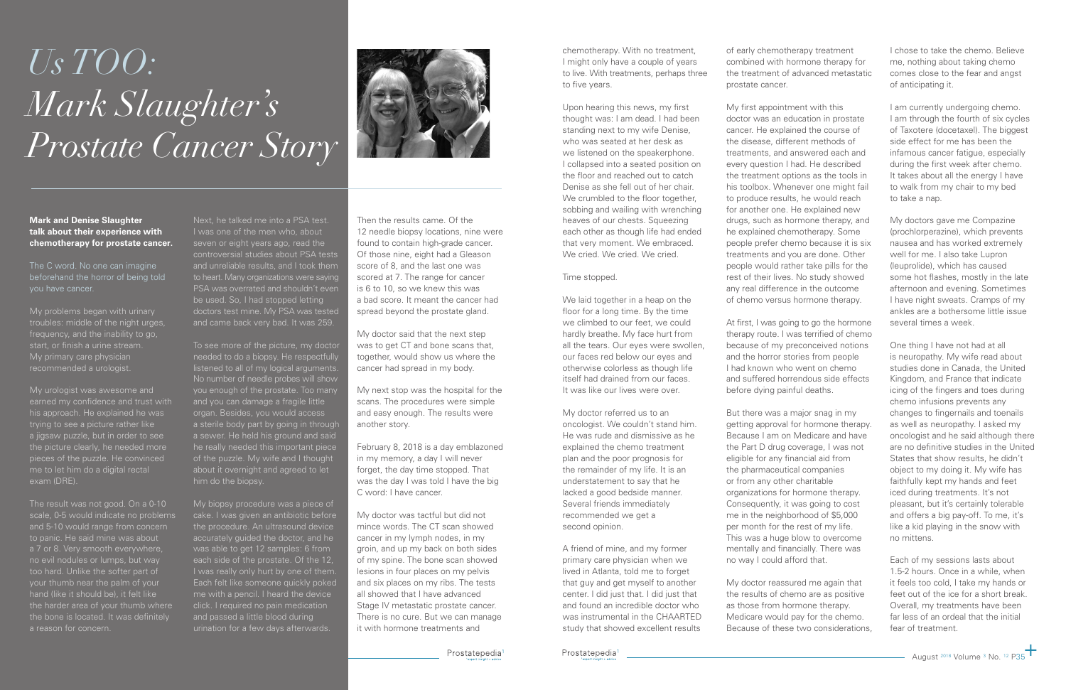## **Mark and Denise Slaughter talk about their experience with chemotherapy for prostate cancer.**

The C word. No one can imagine beforehand the horror of being told you have cancer.

My problems began with urinary troubles: middle of the night urges, frequency, and the inability to go, My primary care physician recommended a urologist.

My urologist was awesome and earned my confidence and trust with his approach. He explained he was trying to see a picture rather like a jigsaw puzzle, but in order to see the picture clearly, he needed more me to let him do a digital rectal exam (DRE).

The result was not good. On a 0-10 scale, 0-5 would indicate no problems and 5-10 would range from concern to panic. He said mine was about a 7 or 8. Very smooth everywhere, no evil nodules or lumps, but way too hard. Unlike the softer part of hand (like it should be), it felt like the harder area of your thumb where a reason for concern.

Next, he talked me into a PSA test. I was one of the men who, about seven or eight years ago, read the controversial studies about PSA tests and unreliable results, and I took them to heart. Many organizations were saying PSA was overrated and shouldn't even be used. So, I had stopped letting doctors test mine. My PSA was tested and came back very bad. It was 259.

To see more of the picture, my doctor needed to do a biopsy. He respectfully listened to all of my logical arguments. No number of needle probes will show you enough of the prostate. Too many and you can damage a fragile little organ. Besides, you would access a sterile body part by going in through a sewer. He held his ground and said of the puzzle. My wife and I thought about it overnight and agreed to let him do the biopsy.

We laid together in a heap on the floor for a long time. By the time we climbed to our feet, we could hardly breathe. My face hurt from all the tears. Our eyes were swollen, our faces red below our eyes and otherwise colorless as though life itself had drained from our faces. It was like our lives were over.

My biopsy procedure was a piece of cake. I was given an antibiotic before the procedure. An ultrasound device accurately guided the doctor, and he was able to get 12 samples: 6 from I was really only hurt by one of them. me with a pencil. I heard the device click. I required no pain medication and passed a little blood during urination for a few days afterwards.

Then the results came. Of the 12 needle biopsy locations, nine were found to contain high-grade cancer. Of those nine, eight had a Gleason score of 8, and the last one was scored at 7. The range for cancer is 6 to 10, so we knew this was a bad score. It meant the cancer had spread beyond the prostate gland.

My doctor said that the next step was to get CT and bone scans that, together, would show us where the cancer had spread in my body.

My next stop was the hospital for the scans. The procedures were simple and easy enough. The results were another story.

February 8, 2018 is a day emblazoned in my memory, a day I will never forget, the day time stopped. That was the day I was told I have the big C word: I have cancer.

My doctor was tactful but did not mince words. The CT scan showed cancer in my lymph nodes, in my groin, and up my back on both sides of my spine. The bone scan showed lesions in four places on my pelvis and six places on my ribs. The tests all showed that I have advanced Stage IV metastatic prostate cancer. There is no cure. But we can manage it with hormone treatments and

## *Us TOO: Mark Slaughter's Prostate Cancer Story*



I am currently undergoing chemo. I am through the fourth of six cycles of Taxotere (docetaxel). The biggest side effect for me has been the infamous cancer fatigue, especially during the first week after chemo. It takes about all the energy I have to walk from my chair to my bed to take a nap.

chemotherapy. With no treatment, I might only have a couple of years to live. With treatments, perhaps three to five years.

Upon hearing this news, my first thought was: I am dead. I had been standing next to my wife Denise, who was seated at her desk as we listened on the speakerphone. I collapsed into a seated position on the floor and reached out to catch Denise as she fell out of her chair. We crumbled to the floor together. sobbing and wailing with wrenching heaves of our chests. Squeezing each other as though life had ended that very moment. We embraced. We cried. We cried. We cried.

Time stopped.

My doctor referred us to an oncologist. We couldn't stand him. He was rude and dismissive as he explained the chemo treatment plan and the poor prognosis for the remainder of my life. It is an understatement to say that he lacked a good bedside manner. Several friends immediately recommended we get a second opinion.

A friend of mine, and my former primary care physician when we lived in Atlanta, told me to forget that guy and get myself to another center. I did just that. I did just that and found an incredible doctor who was instrumental in the CHAARTED study that showed excellent results

of early chemotherapy treatment combined with hormone therapy for the treatment of advanced metastatic prostate cancer.

My first appointment with this doctor was an education in prostate cancer. He explained the course of the disease, different methods of treatments, and answered each and every question I had. He described the treatment options as the tools in his toolbox. Whenever one might fail to produce results, he would reach for another one. He explained new drugs, such as hormone therapy, and he explained chemotherapy. Some people prefer chemo because it is six treatments and you are done. Other people would rather take pills for the rest of their lives. No study showed any real difference in the outcome of chemo versus hormone therapy.

At first, I was going to go the hormone therapy route. I was terrified of chemo because of my preconceived notions and the horror stories from people I had known who went on chemo and suffered horrendous side effects before dying painful deaths.

But there was a major snag in my getting approval for hormone therapy. Because I am on Medicare and have the Part D drug coverage, I was not eligible for any financial aid from the pharmaceutical companies or from any other charitable organizations for hormone therapy. Consequently, it was going to cost me in the neighborhood of \$5,000 per month for the rest of my life. This was a huge blow to overcome mentally and financially. There was no way I could afford that.

My doctor reassured me again that the results of chemo are as positive as those from hormone therapy. Medicare would pay for the chemo. Because of these two considerations, I chose to take the chemo. Believe me, nothing about taking chemo comes close to the fear and angst of anticipating it.

My doctors gave me Compazine (prochlorperazine), which prevents nausea and has worked extremely well for me. I also take Lupron (leuprolide), which has caused some hot flashes, mostly in the late afternoon and evening. Sometimes I have night sweats. Cramps of my ankles are a bothersome little issue several times a week.

One thing I have not had at all is neuropathy. My wife read about studies done in Canada, the United Kingdom, and France that indicate icing of the fingers and toes during chemo infusions prevents any changes to fingernails and toenails as well as neuropathy. I asked my oncologist and he said although there are no definitive studies in the United States that show results, he didn't object to my doing it. My wife has faithfully kept my hands and feet iced during treatments. It's not pleasant, but it's certainly tolerable and offers a big pay-off. To me, it's like a kid playing in the snow with no mittens.

Each of my sessions lasts about 1.5-2 hours. Once in a while, when it feels too cold, I take my hands or feet out of the ice for a short break. Overall, my treatments have been far less of an ordeal that the initial fear of treatment.